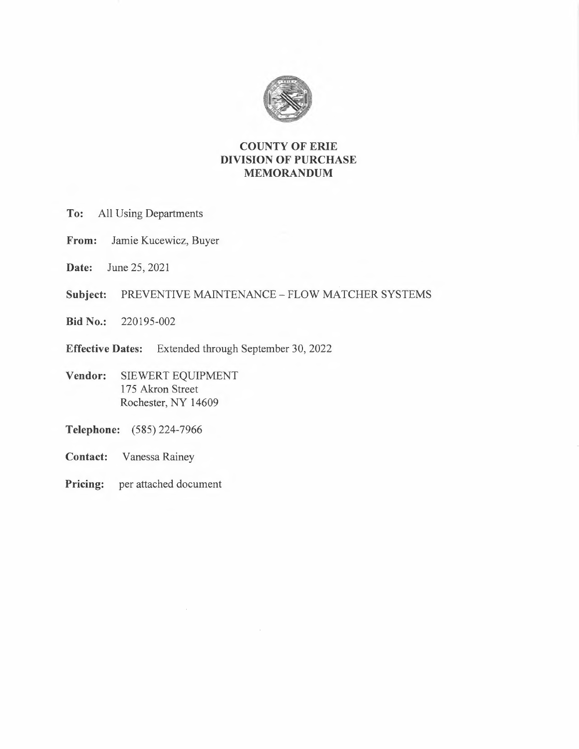

## **COUNTY OF ERIE DIVISION OF PURCHASE MEMORANDUM**

- **To:** All Using Departments
- **From:** Jamie Kucewicz, Buyer
- **Date:** June 25, 2021
- **Subject:** PREVENTIVE MAINTENANCE FLOW MATCHER SYSTEMS

 $\bar{z}$ 

- **Bid No.:** 220195-002
- **Effective Dates:** Extended through September 30, 2022
- **Vendor:** SIEWERT EQUIPMENT 175 Akron Street Rochester, NY 14609
- **Telephone:** (585) 224- 7966
- **Contact:** Vanessa Rainey
- **Pricing:** per attached document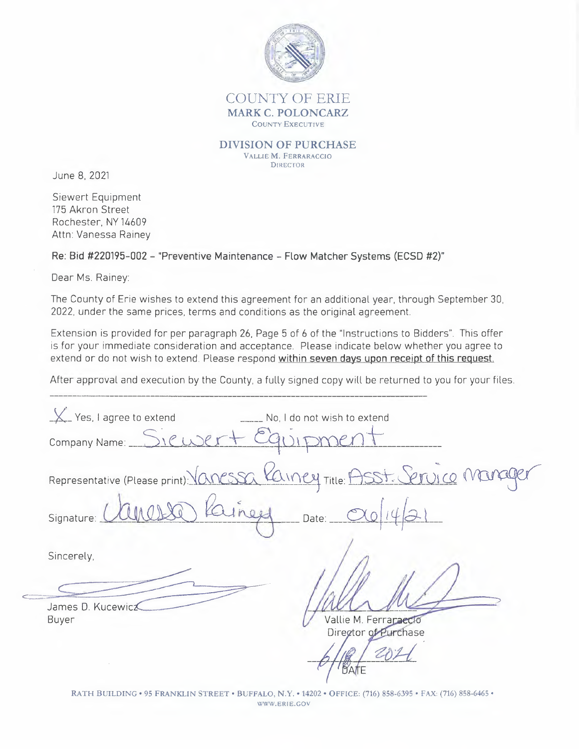

## COUNTY OF ERIE **MARK C. POLONCARZ COUNTY EXECUTIVE**

**DIVISION OF PURCHASE** VALLIE M. FERRARACCIO **DIRECTOR** 

June 8, 2021

Siewert Equipment 175 Akron Street Rochester, NY 14609 Attn: Vanessa Rainev

Re: Bid #220195-002 - "Preventive Maintenance - Flow Matcher Systems (ECSD #2)"

Dear Ms. Rainev:

The County of Erie wishes to extend this agreement for an additional year, through September 30, 2022, under the same prices, terms and conditions as the original agreement.

Extension is provided for per paragraph 26, Page 5 of 6 of the "Instructions to Bidders". This offer is for your immediate consideration and acceptance. Please indicate below whether you agree to extend or do not wish to extend. Please respond within seven days upon receipt of this request.

After approval and execution by the County, a fully signed copy will be returned to you for your files.

 $X$  Yes, I agree to extend No. I do not wish to extend Company Name: Projece Mo Incy Title: Representative (Please print): O Signature Date: Sincerely, James D. Kucewicz Vallie M. Ferraraecto Buyer Director of Purchase

RATH BUILDING . 95 FRANKLIN STREET . BUFFALO, N.Y. . 14202 . OFFICE: (716) 858-6395 . FAX: (716) 858-6465 . WWW.ERIE.GOV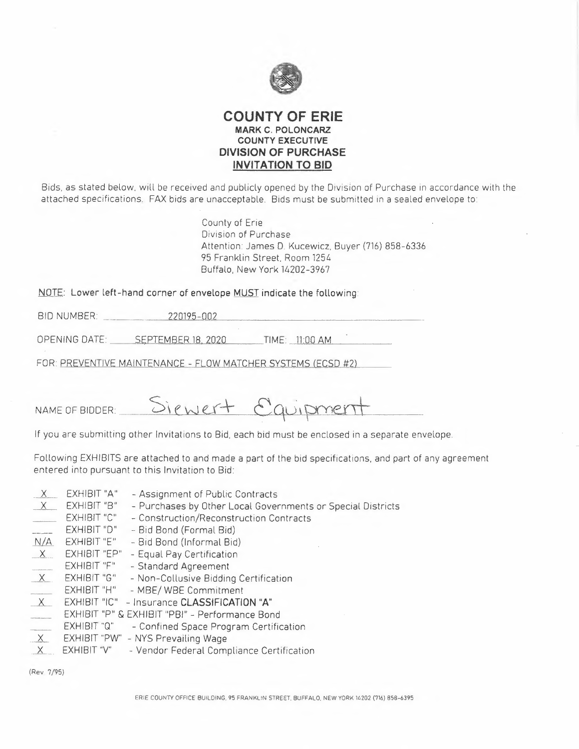

## **COUNTY OF ERIE MARK C. POLONCARZ COUNTY EXECUTIVE DIVISION OF PURCHASE INVITATION TO BID**

Bids, as stated below, will be received and publicly opened by the Division of Purchase in accordance with the attached specifications. FAX bids are unacceptable. Bids must be submitted in a sealed envelope to:

> County of Erie Division of Purchase Attention: James D. Kucewicz, Buyer (716) 858-6336 95 Franklin Street, Room 1254 Buffalo, New York 14202-3967

**NOTE:** Lower left-hand corner of envelope **MUST** indicate the following:

| <b>BID NUMBER:</b><br>Products for sales | .002<br>$195 - 1$                                      |  |
|------------------------------------------|--------------------------------------------------------|--|
|                                          | the property of the control of the control of the con- |  |

OPENING DATE: \_\_\_\_\_ SEPTEMBER 18, 2020 TIME: 11:00 AM

FOR: PREVENTIVE MAINTENANCE - FLOW MATCHER SYSTEMS (ECSD #2)

Siewert Equipment NAME OF BIDDER:

If you are submitting other Invitations to Bid, each bid must be enclosed in a separate envelope.

Following EXHIBITS are attached to and made a part of the bid specifications, and part of any agreement entered into pursuant to this Invitation to Bid:

- $\chi$ X EXHIBIT "A"<br>X EXHIBIT "B"<br>EXHIBIT "C" - Assignment of Public Contracts
- Purchases by Other Local Governments or Special Districts
- EXHIBIT "C" Construction/Reconstruction Contracts
- EXHIBIT "O" Bid Bond (Formal Bid)<br>N/A EXHIBIT "E" Bid Bond (Informal Bid alian and a
- Bid Bond (Informal Bid)
- EXHIBIT "EP" Equal Pay Certification
- EXHIBIT "F" Standard Agreement
- EXHIBIT "G" Non-Collusive Bidding Certification<br>EXHIBIT "H" MBE/WBE Commitment
- MBE/ WBE Commitment
- EXHIBIT "IC" Insurance **CLASSIFICATION "A"**
- EXHIBIT "P" & EXHIBIT "PB!" Performance Bond
- EXHIBIT "Q" Confined Space Program Certification
- $\times$ EXHIBIT "PW" - NYS Prevailing Wage
- $\times$ EXHIBIT "V" - Vendor Federal Compliance Certification

(Rev 7/95)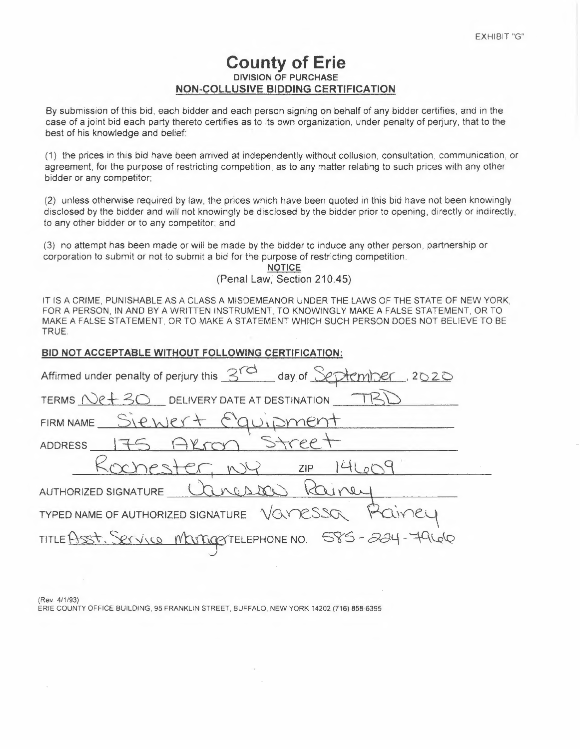# **County of Erie DIVISION OF PURCHASE NON-COLLUSIVE BIDDING CERTIFICATION**

By submission of this bid, each bidder and each person signing on behalf of any bidder certifies, and in the case of a joint bid each party thereto certifies as to its own organization, under penalty of perjury, that to the best of his knowledge and belief:

(1) the prices in this bid have been arrived at independently without collusion, consultation, communication, or agreement, for the purpose of restricting competition, as to any matter relating to such prices with any other bidder or any competitor;

(2) unless otherwise required by law, the prices which have been quoted in this bid have not been knowingly disclosed by the bidder and will not knowingly be disclosed by the bidder prior to opening, directly or indirectly, to any other bidder or to any competitor; and

(3) no attempt has been made or will be made by the bidder to induce any other person, partnership or corporation to submit or not to submit a bid for the purpose of restricting competition.

> **NOTICE** (Penal Law, Section 210.45)

IT IS A CRIME, PUNISHABLE AS A CLASS A MISDEMEANOR UNDER THE LAWS OF THE STATE OF NEW YORK, FOR A PERSON, IN AND BY A WRITTEN INSTRUMENT, TO KNOWINGLY MAKE A FALSE STATEMENT, OR TO MAKE A FALSE STATEMENT, OR TO MAKE A STATEMENT WHICH SUCH PERSON DOES NOT BELIEVE TO BE TRUE.

#### BID NOT ACCEPTABLE WITHOUT FOLLOWING CERTIFICATION:

| Affirmed under penalty of perjury this 3rd day of September 2020 |  |  |  |  |
|------------------------------------------------------------------|--|--|--|--|
| TERMS Net 30 DELIVERY DATE AT DESTINATION TR                     |  |  |  |  |
| FIRM NAME Siewert Equipment                                      |  |  |  |  |
| ADDRESS 175 AKron Street                                         |  |  |  |  |
| Rochester, NY 21P 14609                                          |  |  |  |  |
| AUTHORIZED SIGNATURE Canada                                      |  |  |  |  |
| TYPED NAME OF AUTHORIZED SIGNATURE VOURSSOR POINCY               |  |  |  |  |
| TITLE Asst. Service ManagerTELEPHONE NO. 585-224-79666           |  |  |  |  |
|                                                                  |  |  |  |  |

(Rev. 4/1/93) ERIE COUNTY OFFICE BUILDING, 95 FRANKLIN STREET, BUFFALO, NEW YORK 14202 (716) 858-6395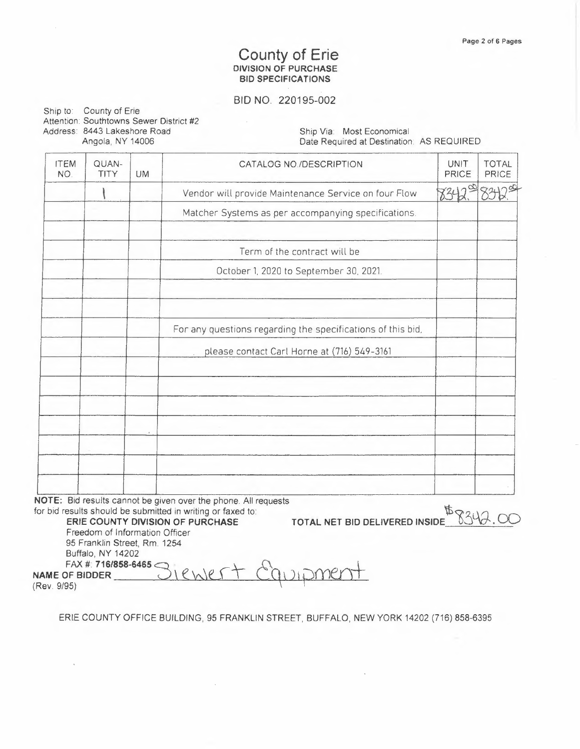## **County of Erie DIVISION OF PURCHASE BIO SPECIFICATIONS**

### BID NO. 220195-002

Ship to: County of Erie Attention: Southtowns Sewer District #2 Address: 8443 Lakeshore Road Angola, NY 14006

Ship Via: Most Economical Date Required at Destination: AS REQUIRED

| <b>ITEM</b><br>NO. | QUAN-<br>TITY | <b>UM</b> | CATALOG NO./DESCRIPTION                                     | UNIT<br><b>PRICE</b> | <b>TOTAL</b><br><b>PRICE</b> |
|--------------------|---------------|-----------|-------------------------------------------------------------|----------------------|------------------------------|
|                    |               |           | Vendor will provide Maintenance Service on four Flow        |                      |                              |
|                    |               |           | Matcher Systems as per accompanying specifications.         |                      |                              |
|                    |               |           | Term of the contract will be                                |                      |                              |
|                    |               |           | October 1, 2020 to September 30, 2021.                      |                      |                              |
|                    |               |           |                                                             |                      |                              |
|                    |               |           | For any questions regarding the specifications of this bid, |                      |                              |
|                    |               |           | please contact Carl Horne at (716) 549-3161                 |                      |                              |
|                    |               |           |                                                             |                      |                              |
|                    |               |           |                                                             |                      |                              |
|                    |               |           |                                                             |                      |                              |
|                    |               |           |                                                             |                      |                              |
|                    |               |           |                                                             |                      |                              |

**NOTE:** Bid results cannot be given *over* the phone. All requests for bid results should be submitted in writing or faxed to:<br>
ERIE COUNTY DIVISION OF PURCHASE TOTAL NET BID DELIVERED INSIDE

**ERIE COUNTY DIVISION OF PURCHASE** Freedom of Information *Officer*  95 Franklin Street, Rm. 1254 Buffalo, **NY** 14202

FAX#: **716/858-6465** Q, j,\_.  $i$  enjert er

(Rev. 9/95)

ERIE COUNTY OFFICE BUILDING, 95 FRANKLIN STREET, BUFFALO, NEW YORK 14202 (716) 858-6395

 $\left($